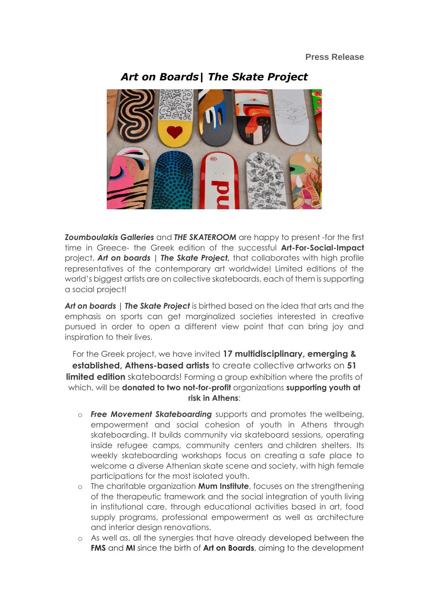

*Art on Boards| The Skate Project*

*Zoumboulakis Galleries* and *THE SKATEROOM* are happy to present -for the first time in Greece- the Greek edition of the successful **Art-For-Social-Impact** project, *Art οn boards | The Skate Project,* that collaborates with high profile representatives of the contemporary art worldwide! Limited editions of the world's biggest artists are on collective skateboards, each of them is supporting a social project!

*Art οn boards | The Skate Project* is birthed based on the idea that arts and the emphasis on sports can get marginalized societies interested in creative pursued in order to open a different view point that can bring joy and inspiration to their lives.

For the Greek project, we have invited **17 multidisciplinary, emerging & established, Athens-based artists** to create collective artworks on **51 limited edition** skateboards! Forming a group exhibition where the profits of which, will be **donated to two not-for-profit** organizations **supporting youth at risk in Athens**:

- o *Free Movement Skateboarding* supports and promotes the wellbeing, empowerment and social cohesion of youth in Athens through skateboarding. It builds community via skateboard sessions, operating inside refugee camps, community centers and children shelters. Its weekly skateboarding workshops focus on creating a safe place to welcome a diverse Athenian skate scene and society, with high female participations for the most isolated youth.
- o The charitable organization **Mum Institute**, focuses on the strengthening of the therapeutic framework and the social integration of youth living in institutional care, through educational activities based in art, food supply programs, professional empowerment as well as architecture and interior design renovations.
- o As well as, all the synergies that have already developed between the **FMS** and **MI** since the birth of **Art on Boards**, aiming to the development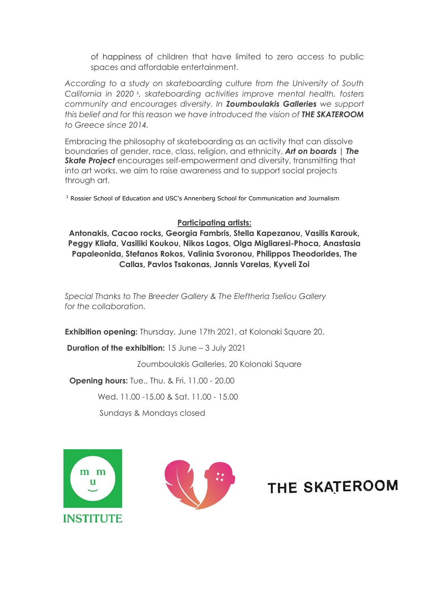of happiness of children that have limited to zero access to public spaces and affordable entertainment.

*According to a study on skateboarding culture from the University of South*  California in 2020<sup>1</sup>, skateboarding activities improve mental health, fosters *community and encourages diversity. In Zoumboulakis Galleries we support this belief and for this reason we have introduced the vision of THE SKATEROOM to Greece since 2014.*

Embracing the philosophy of skateboarding as an activity that can dissolve boundaries of gender, race, class, religion, and ethnicity, *Art οn boards | The*  **Skate Project** encourages self-empowerment and diversity, transmitting that into art works, we aim to raise awareness and to support social projects through art.

<sup>1</sup> Rossier School of Education and USC's Annenberg School for Communication and Journalism

#### **Participating artists:**

**Antonakis, Cacao rocks, Georgia Fambris, Stella Kapezanou, Vasilis Karouk, Peggy Kliafa, Vasiliki Koukou, Nikos Lagos, Olga Migliaresi-Phoca, Anastasia Papaleonida, Stefanos Rokos, Valinia Svoronou, Philippos Theodorides, The Callas, Pavlos Tsakonas, Jannis Varelas, Kyveli Zoi**

*Special Thanks to The Breeder Gallery & The Eleftheria Tseliou Gallery for the collaboration.*

**Exhibition opening:** Thursday, June 17th 2021, at Kolonaki Square 20.

**Duration of the exhibition:** 15 June – 3 July 2021

Zoumboulakis Galleries, 20 Kolonaki Square

 **Opening hours:** Tue., Thu. & Fri. 11.00 - 20.00

Wed. 11.00 -15.00 & Sat. 11.00 - 15.00

Sundays & Mondays closed





# THE SKATEROOM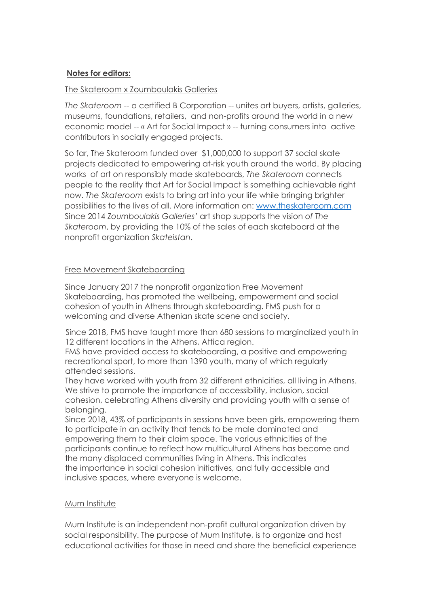### **Notes for editors:**

### The Skateroom x Zoumboulakis Galleries

*The Skateroom* -- a certified B Corporation -- unites art buyers, artists, galleries, museums, foundations, retailers, and non-profits around the world in a new economic model -- « Art for Social Impact » -- turning consumers into active contributors in socially engaged projects.

So far, The Skateroom funded over \$1,000,000 to support 37 social skate projects dedicated to empowering at-risk youth around the world. By placing works of art on responsibly made skateboards, *The Skateroom* connects people to the reality that Art for Social Impact is something achievable right now. *The Skateroom* exists to bring art into your life while bringing brighter possibilities to the lives of all. More information on: [www.theskateroom.com](http://www.theskateroom.com/) Since 2014 *Zoumboulakis Galleries'* art shop supports the vision *of The Skateroom*, by providing the 10% of the sales of each skateboard at the nonprofit organization *Skateistan*.

#### Free Movement Skateboarding

Since January 2017 the nonprofit organization Free Movement Skateboarding, has promoted the wellbeing, empowerment and social cohesion of youth in Athens through skateboarding. FMS push for a welcoming and diverse Athenian skate scene and society.

Since 2018, FMS have taught more than 680 sessions to marginalized youth in 12 different locations in the Athens, Attica region.

FMS have provided access to skateboarding, a positive and empowering recreational sport, to more than 1390 youth, many of which regularly attended sessions.

They have worked with youth from 32 different ethnicities, all living in Athens. We strive to promote the importance of accessibility, inclusion, social cohesion, celebrating Athens diversity and providing youth with a sense of belonging.

Since 2018, 43% of participants in sessions have been girls, empowering them to participate in an activity that tends to be male dominated and empowering them to their claim space. The various ethnicities of the participants continue to reflect how multicultural Athens has become and the many displaced communities living in Athens. This indicates the importance in social cohesion initiatives, and fully accessible and inclusive spaces, where everyone is welcome.

## Mum Institute

Mum Institute is an independent non-profit cultural organization driven by social responsibility. The purpose of Mum Institute, is to organize and host educational activities for those in need and share the beneficial experience